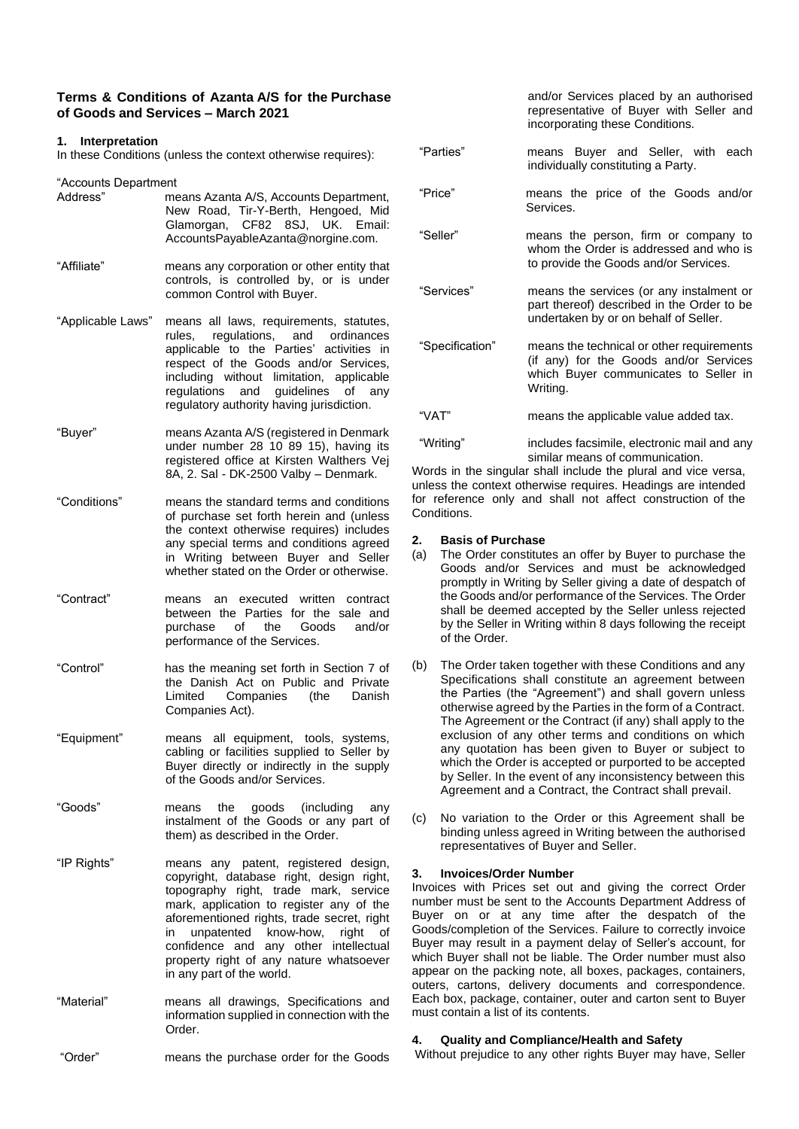# **Terms & Conditions of Azanta A/S for the Purchase of Goods and Services – March 2021**

### **1. Interpretation**

In these Conditions (unless the context otherwise requires):

"Accounts Department

- means Azanta A/S, Accounts Department, New Road, Tir-Y-Berth, Hengoed, Mid Glamorgan, CF82 8SJ, UK. Email: AccountsPayableAzanta@norgine.com.
- "Affiliate" means any corporation or other entity that controls, is controlled by, or is under common Control with Buyer.
- "Applicable Laws" means all laws, requirements, statutes, regulations. applicable to the Parties' activities in respect of the Goods and/or Services, including without limitation, applicable<br>regulations and guidelines of any quidelines of any regulatory authority having jurisdiction.
- "Buyer" means Azanta A/S (registered in Denmark under number 28 10 89 15), having its registered office at Kirsten Walthers Vej 8A, 2. Sal - DK-2500 Valby – Denmark.
- "Conditions" means the standard terms and conditions of purchase set forth herein and (unless the context otherwise requires) includes any special terms and conditions agreed in Writing between Buyer and Seller whether stated on the Order or otherwise.
- "Contract" means an executed written contract between the Parties for the sale and purchase of the Goods and/or performance of the Services.
- "Control" has the meaning set forth in Section 7 of the Danish Act on Public and Private<br>Limited Companies (the Danish Companies Companies Act).
- "Equipment" means all equipment, tools, systems, cabling or facilities supplied to Seller by Buyer directly or indirectly in the supply of the Goods and/or Services.
- "Goods" means the goods (including any instalment of the Goods or any part of them) as described in the Order.
- "IP Rights" means any patent, registered design, copyright, database right, design right, topography right, trade mark, service mark, application to register any of the aforementioned rights, trade secret, right in unpatented know-how, right of confidence and any other intellectual property right of any nature whatsoever in any part of the world.
- "Material" means all drawings, Specifications and information supplied in connection with the Order.
- "Order" means the purchase order for the Goods

and/or Services placed by an authorised representative of Buyer with Seller and incorporating these Conditions.

- "Parties" means Buyer and Seller, with each individually constituting a Party.
- "Price" means the price of the Goods and/or Services.
- "Seller" means the person, firm or company to whom the Order is addressed and who is to provide the Goods and/or Services.

"Services" means the services (or any instalment or part thereof) described in the Order to be undertaken by or on behalf of Seller.

"Specification" means the technical or other requirements (if any) for the Goods and/or Services which Buyer communicates to Seller in Writing.

"VAT" means the applicable value added tax.

"Writing" includes facsimile, electronic mail and any similar means of communication.

Words in the singular shall include the plural and vice versa, unless the context otherwise requires. Headings are intended for reference only and shall not affect construction of the Conditions.

### **2. Basis of Purchase**

- (a) The Order constitutes an offer by Buyer to purchase the Goods and/or Services and must be acknowledged promptly in Writing by Seller giving a date of despatch of the Goods and/or performance of the Services. The Order shall be deemed accepted by the Seller unless rejected by the Seller in Writing within 8 days following the receipt of the Order.
- The Order taken together with these Conditions and any Specifications shall constitute an agreement between the Parties (the "Agreement") and shall govern unless otherwise agreed by the Parties in the form of a Contract. The Agreement or the Contract (if any) shall apply to the exclusion of any other terms and conditions on which any quotation has been given to Buyer or subject to which the Order is accepted or purported to be accepted by Seller. In the event of any inconsistency between this Agreement and a Contract, the Contract shall prevail.
- (c) No variation to the Order or this Agreement shall be binding unless agreed in Writing between the authorised representatives of Buyer and Seller.

# **3. Invoices/Order Number**

Invoices with Prices set out and giving the correct Order number must be sent to the Accounts Department Address of Buyer on or at any time after the despatch of the Goods/completion of the Services. Failure to correctly invoice Buyer may result in a payment delay of Seller's account, for which Buyer shall not be liable. The Order number must also appear on the packing note, all boxes, packages, containers, outers, cartons, delivery documents and correspondence. Each box, package, container, outer and carton sent to Buyer must contain a list of its contents.

# **4. Quality and Compliance/Health and Safety**

Without prejudice to any other rights Buyer may have, Seller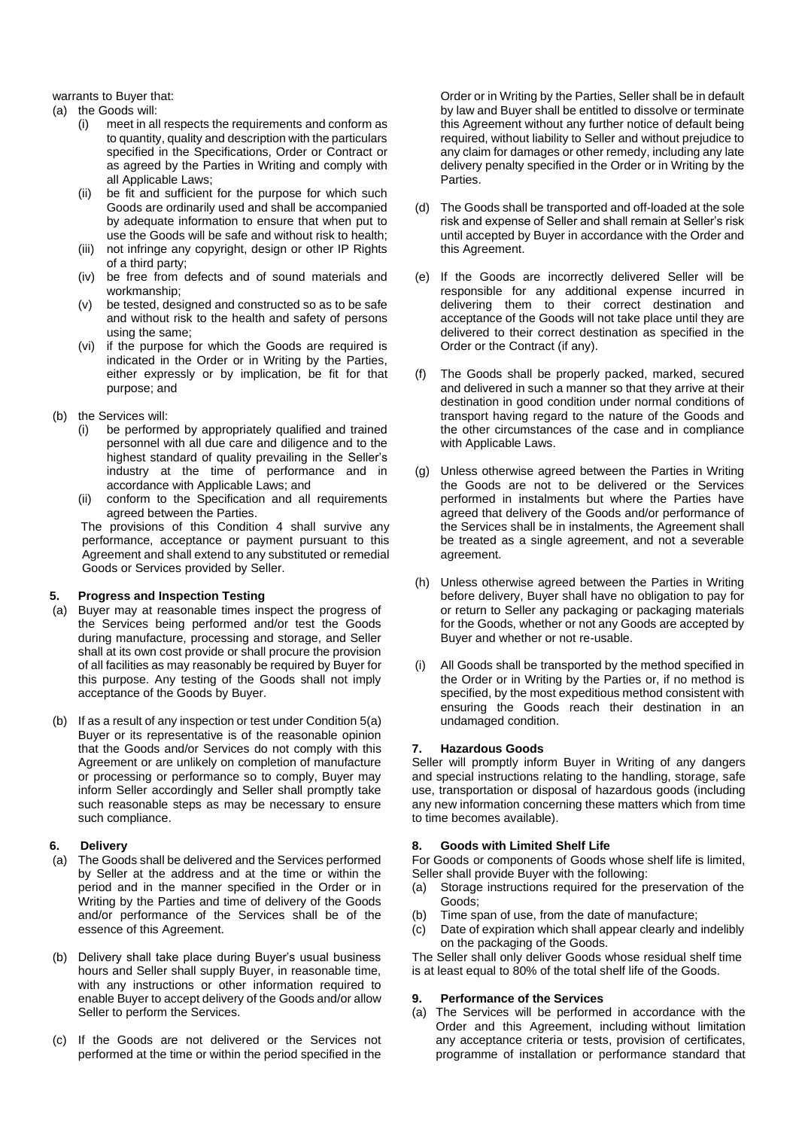warrants to Buyer that:

(a) the Goods will:

- (i) meet in all respects the requirements and conform as to quantity, quality and description with the particulars specified in the Specifications, Order or Contract or as agreed by the Parties in Writing and comply with all Applicable Laws;
- (ii) be fit and sufficient for the purpose for which such Goods are ordinarily used and shall be accompanied by adequate information to ensure that when put to use the Goods will be safe and without risk to health;
- (iii) not infringe any copyright, design or other IP Rights of a third party;
- (iv) be free from defects and of sound materials and workmanship;
- (v) be tested, designed and constructed so as to be safe and without risk to the health and safety of persons using the same;
- (vi) if the purpose for which the Goods are required is indicated in the Order or in Writing by the Parties, either expressly or by implication, be fit for that purpose; and
- (b) the Services will:
	- (i) be performed by appropriately qualified and trained personnel with all due care and diligence and to the highest standard of quality prevailing in the Seller's industry at the time of performance and in accordance with Applicable Laws; and
	- conform to the Specification and all requirements agreed between the Parties.

The provisions of this Condition 4 shall survive any performance, acceptance or payment pursuant to this Agreement and shall extend to any substituted or remedial Goods or Services provided by Seller.

# **5. Progress and Inspection Testing**

- (a) Buyer may at reasonable times inspect the progress of the Services being performed and/or test the Goods during manufacture, processing and storage, and Seller shall at its own cost provide or shall procure the provision of all facilities as may reasonably be required by Buyer for this purpose. Any testing of the Goods shall not imply acceptance of the Goods by Buyer.
- (b) If as a result of any inspection or test under Condition 5(a) Buyer or its representative is of the reasonable opinion that the Goods and/or Services do not comply with this Agreement or are unlikely on completion of manufacture or processing or performance so to comply, Buyer may inform Seller accordingly and Seller shall promptly take such reasonable steps as may be necessary to ensure such compliance.

### **6. Delivery**

- (a) The Goods shall be delivered and the Services performed by Seller at the address and at the time or within the period and in the manner specified in the Order or in Writing by the Parties and time of delivery of the Goods and/or performance of the Services shall be of the essence of this Agreement.
- (b) Delivery shall take place during Buyer's usual business hours and Seller shall supply Buyer, in reasonable time, with any instructions or other information required to enable Buyer to accept delivery of the Goods and/or allow Seller to perform the Services.
- (c) If the Goods are not delivered or the Services not performed at the time or within the period specified in the

Order or in Writing by the Parties, Seller shall be in default by law and Buyer shall be entitled to dissolve or terminate this Agreement without any further notice of default being required, without liability to Seller and without prejudice to any claim for damages or other remedy, including any late delivery penalty specified in the Order or in Writing by the Parties.

- (d) The Goods shall be transported and off-loaded at the sole risk and expense of Seller and shall remain at Seller's risk until accepted by Buyer in accordance with the Order and this Agreement.
- (e) If the Goods are incorrectly delivered Seller will be responsible for any additional expense incurred in delivering them to their correct destination and acceptance of the Goods will not take place until they are delivered to their correct destination as specified in the Order or the Contract (if any).
- (f) The Goods shall be properly packed, marked, secured and delivered in such a manner so that they arrive at their destination in good condition under normal conditions of transport having regard to the nature of the Goods and the other circumstances of the case and in compliance with Applicable Laws.
- (g) Unless otherwise agreed between the Parties in Writing the Goods are not to be delivered or the Services performed in instalments but where the Parties have agreed that delivery of the Goods and/or performance of the Services shall be in instalments, the Agreement shall be treated as a single agreement, and not a severable agreement.
- (h) Unless otherwise agreed between the Parties in Writing before delivery, Buyer shall have no obligation to pay for or return to Seller any packaging or packaging materials for the Goods, whether or not any Goods are accepted by Buyer and whether or not re-usable.
- (i) All Goods shall be transported by the method specified in the Order or in Writing by the Parties or, if no method is specified, by the most expeditious method consistent with ensuring the Goods reach their destination in an undamaged condition.

# **7. Hazardous Goods**

Seller will promptly inform Buyer in Writing of any dangers and special instructions relating to the handling, storage, safe use, transportation or disposal of hazardous goods (including any new information concerning these matters which from time to time becomes available).

### **8. Goods with Limited Shelf Life**

For Goods or components of Goods whose shelf life is limited, Seller shall provide Buyer with the following:

- (a) Storage instructions required for the preservation of the Goods;
- (b) Time span of use, from the date of manufacture;
- (c) Date of expiration which shall appear clearly and indelibly on the packaging of the Goods.

The Seller shall only deliver Goods whose residual shelf time is at least equal to 80% of the total shelf life of the Goods.

### **9. Performance of the Services**

(a) The Services will be performed in accordance with the Order and this Agreement, including without limitation any acceptance criteria or tests, provision of certificates, programme of installation or performance standard that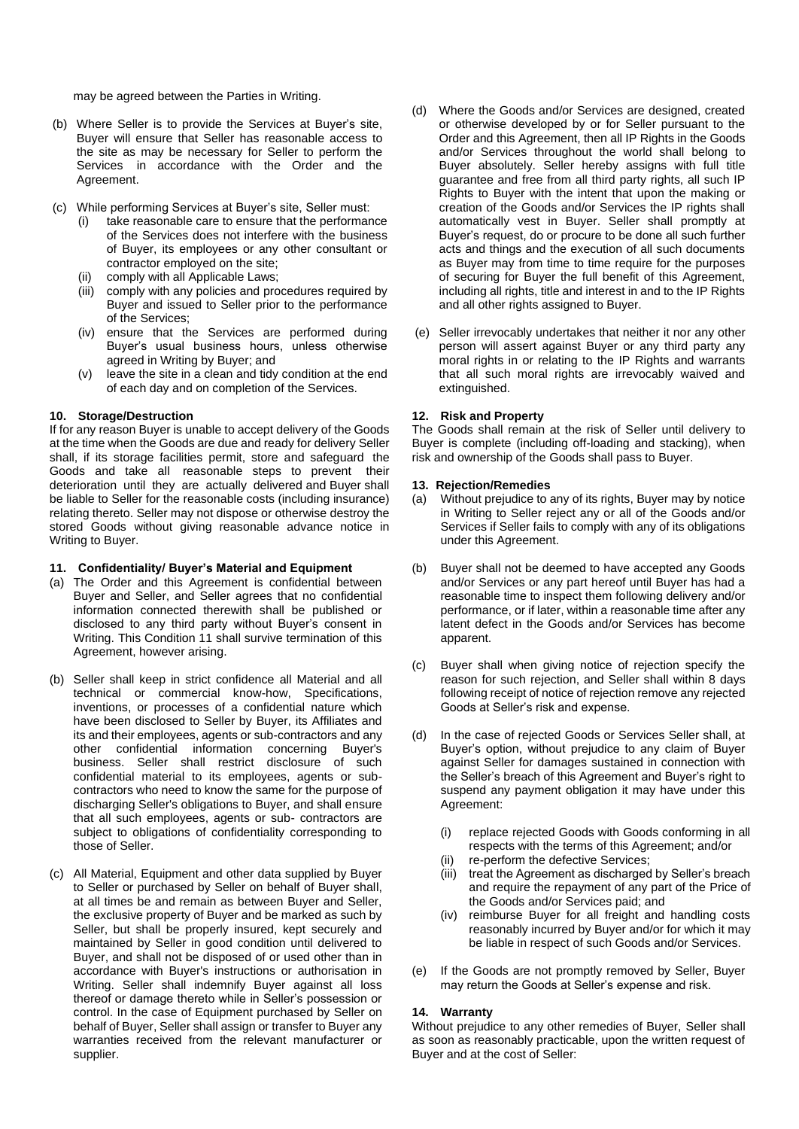may be agreed between the Parties in Writing.

- (b) Where Seller is to provide the Services at Buyer's site, Buyer will ensure that Seller has reasonable access to the site as may be necessary for Seller to perform the Services in accordance with the Order and the Agreement.
- (c) While performing Services at Buyer's site, Seller must:
	- take reasonable care to ensure that the performance of the Services does not interfere with the business of Buyer, its employees or any other consultant or contractor employed on the site;
	- comply with all Applicable Laws;
	- (iii) comply with any policies and procedures required by Buyer and issued to Seller prior to the performance of the Services;
	- (iv) ensure that the Services are performed during Buyer's usual business hours, unless otherwise agreed in Writing by Buyer; and
	- (v) leave the site in a clean and tidy condition at the end of each day and on completion of the Services.

### **10. Storage/Destruction**

If for any reason Buyer is unable to accept delivery of the Goods at the time when the Goods are due and ready for delivery Seller shall, if its storage facilities permit, store and safeguard the Goods and take all reasonable steps to prevent their deterioration until they are actually delivered and Buyer shall be liable to Seller for the reasonable costs (including insurance) relating thereto. Seller may not dispose or otherwise destroy the stored Goods without giving reasonable advance notice in Writing to Buyer.

### **11. Confidentiality/ Buyer's Material and Equipment**

- (a) The Order and this Agreement is confidential between Buyer and Seller, and Seller agrees that no confidential information connected therewith shall be published or disclosed to any third party without Buyer's consent in Writing. This Condition 11 shall survive termination of this Agreement, however arising.
- (b) Seller shall keep in strict confidence all Material and all technical or commercial know-how, Specifications, inventions, or processes of a confidential nature which have been disclosed to Seller by Buyer, its Affiliates and its and their employees, agents or sub-contractors and any other confidential information concerning Buyer's business. Seller shall restrict disclosure of such confidential material to its employees, agents or subcontractors who need to know the same for the purpose of discharging Seller's obligations to Buyer, and shall ensure that all such employees, agents or sub- contractors are subject to obligations of confidentiality corresponding to those of Seller.
- (c) All Material, Equipment and other data supplied by Buyer to Seller or purchased by Seller on behalf of Buyer shall, at all times be and remain as between Buyer and Seller, the exclusive property of Buyer and be marked as such by Seller, but shall be properly insured, kept securely and maintained by Seller in good condition until delivered to Buyer, and shall not be disposed of or used other than in accordance with Buyer's instructions or authorisation in Writing. Seller shall indemnify Buyer against all loss thereof or damage thereto while in Seller's possession or control. In the case of Equipment purchased by Seller on behalf of Buyer, Seller shall assign or transfer to Buyer any warranties received from the relevant manufacturer or supplier.
- (d) Where the Goods and/or Services are designed, created or otherwise developed by or for Seller pursuant to the Order and this Agreement, then all IP Rights in the Goods and/or Services throughout the world shall belong to Buyer absolutely. Seller hereby assigns with full title guarantee and free from all third party rights, all such IP Rights to Buyer with the intent that upon the making or creation of the Goods and/or Services the IP rights shall automatically vest in Buyer. Seller shall promptly at Buyer's request, do or procure to be done all such further acts and things and the execution of all such documents as Buyer may from time to time require for the purposes of securing for Buyer the full benefit of this Agreement, including all rights, title and interest in and to the IP Rights and all other rights assigned to Buyer.
- (e) Seller irrevocably undertakes that neither it nor any other person will assert against Buyer or any third party any moral rights in or relating to the IP Rights and warrants that all such moral rights are irrevocably waived and extinguished.

### **12. Risk and Property**

The Goods shall remain at the risk of Seller until delivery to Buyer is complete (including off-loading and stacking), when risk and ownership of the Goods shall pass to Buyer.

#### **13. Rejection/Remedies**

- (a) Without prejudice to any of its rights, Buyer may by notice in Writing to Seller reject any or all of the Goods and/or Services if Seller fails to comply with any of its obligations under this Agreement.
- (b) Buyer shall not be deemed to have accepted any Goods and/or Services or any part hereof until Buyer has had a reasonable time to inspect them following delivery and/or performance, or if later, within a reasonable time after any latent defect in the Goods and/or Services has become apparent.
- Buyer shall when giving notice of rejection specify the reason for such rejection, and Seller shall within 8 days following receipt of notice of rejection remove any rejected Goods at Seller's risk and expense.
- (d) In the case of rejected Goods or Services Seller shall, at Buyer's option, without prejudice to any claim of Buyer against Seller for damages sustained in connection with the Seller's breach of this Agreement and Buyer's right to suspend any payment obligation it may have under this Agreement:
	- (i) replace rejected Goods with Goods conforming in all respects with the terms of this Agreement; and/or
	- (ii) re-perform the defective Services;<br>(iii) treat the Agreement as discharged
	- treat the Agreement as discharged by Seller's breach and require the repayment of any part of the Price of the Goods and/or Services paid; and
	- (iv) reimburse Buyer for all freight and handling costs reasonably incurred by Buyer and/or for which it may be liable in respect of such Goods and/or Services.
- (e) If the Goods are not promptly removed by Seller, Buyer may return the Goods at Seller's expense and risk.

#### **14. Warranty**

Without prejudice to any other remedies of Buyer, Seller shall as soon as reasonably practicable, upon the written request of Buyer and at the cost of Seller: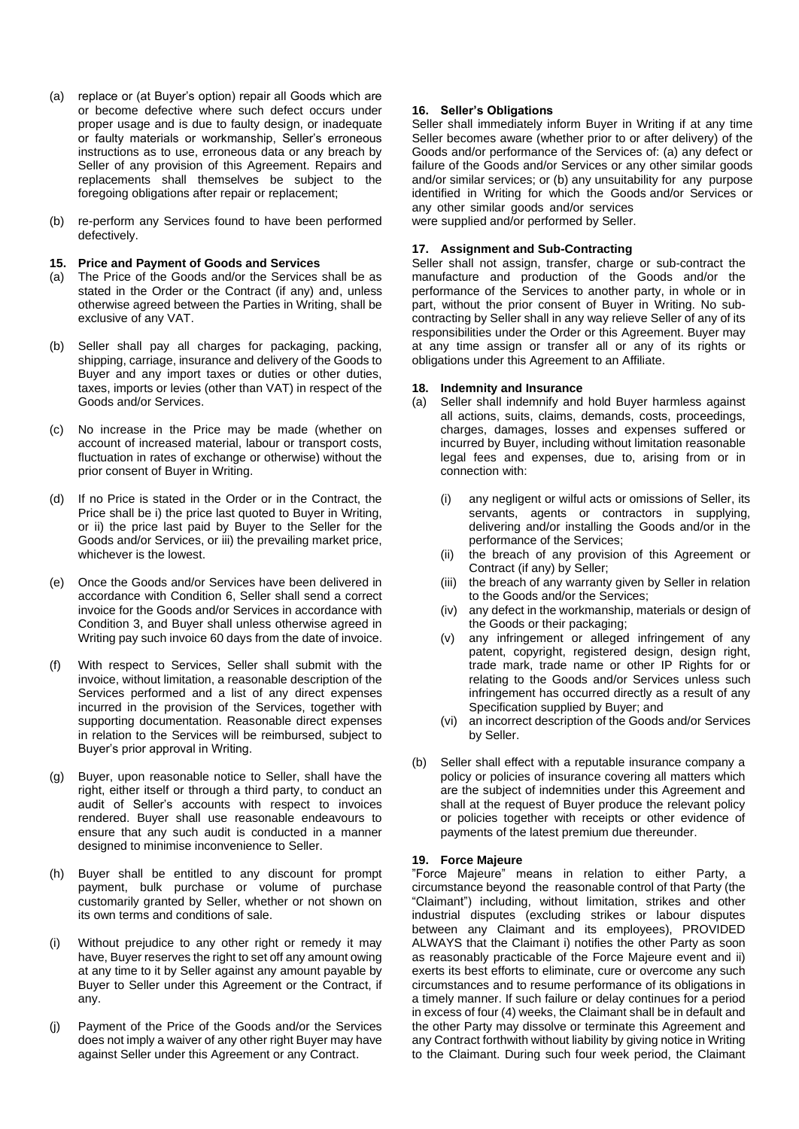- (a) replace or (at Buyer's option) repair all Goods which are or become defective where such defect occurs under proper usage and is due to faulty design, or inadequate or faulty materials or workmanship, Seller's erroneous instructions as to use, erroneous data or any breach by Seller of any provision of this Agreement. Repairs and replacements shall themselves be subject to the foregoing obligations after repair or replacement;
- (b) re-perform any Services found to have been performed defectively.

### **15. Price and Payment of Goods and Services**

- (a) The Price of the Goods and/or the Services shall be as stated in the Order or the Contract (if any) and, unless otherwise agreed between the Parties in Writing, shall be exclusive of any VAT.
- (b) Seller shall pay all charges for packaging, packing, shipping, carriage, insurance and delivery of the Goods to Buyer and any import taxes or duties or other duties, taxes, imports or levies (other than VAT) in respect of the Goods and/or Services.
- (c) No increase in the Price may be made (whether on account of increased material, labour or transport costs, fluctuation in rates of exchange or otherwise) without the prior consent of Buyer in Writing.
- (d) If no Price is stated in the Order or in the Contract, the Price shall be i) the price last quoted to Buyer in Writing, or ii) the price last paid by Buyer to the Seller for the Goods and/or Services, or iii) the prevailing market price, whichever is the lowest.
- (e) Once the Goods and/or Services have been delivered in accordance with Condition 6, Seller shall send a correct invoice for the Goods and/or Services in accordance with Condition 3, and Buyer shall unless otherwise agreed in Writing pay such invoice 60 days from the date of invoice.
- (f) With respect to Services, Seller shall submit with the invoice, without limitation, a reasonable description of the Services performed and a list of any direct expenses incurred in the provision of the Services, together with supporting documentation. Reasonable direct expenses in relation to the Services will be reimbursed, subject to Buyer's prior approval in Writing.
- (g) Buyer, upon reasonable notice to Seller, shall have the right, either itself or through a third party, to conduct an audit of Seller's accounts with respect to invoices rendered. Buyer shall use reasonable endeavours to ensure that any such audit is conducted in a manner designed to minimise inconvenience to Seller.
- (h) Buyer shall be entitled to any discount for prompt payment, bulk purchase or volume of purchase customarily granted by Seller, whether or not shown on its own terms and conditions of sale.
- Without prejudice to any other right or remedy it may have, Buyer reserves the right to set off any amount owing at any time to it by Seller against any amount payable by Buyer to Seller under this Agreement or the Contract, if any.
- (j) Payment of the Price of the Goods and/or the Services does not imply a waiver of any other right Buyer may have against Seller under this Agreement or any Contract.

# **16. Seller's Obligations**

Seller shall immediately inform Buyer in Writing if at any time Seller becomes aware (whether prior to or after delivery) of the Goods and/or performance of the Services of: (a) any defect or failure of the Goods and/or Services or any other similar goods and/or similar services; or (b) any unsuitability for any purpose identified in Writing for which the Goods and/or Services or any other similar goods and/or services were supplied and/or performed by Seller.

# **17. Assignment and Sub-Contracting**

Seller shall not assign, transfer, charge or sub-contract the manufacture and production of the Goods and/or the performance of the Services to another party, in whole or in part, without the prior consent of Buyer in Writing. No subcontracting by Seller shall in any way relieve Seller of any of its responsibilities under the Order or this Agreement. Buyer may at any time assign or transfer all or any of its rights or obligations under this Agreement to an Affiliate.

### **18. Indemnity and Insurance**

- (a) Seller shall indemnify and hold Buyer harmless against all actions, suits, claims, demands, costs, proceedings, charges, damages, losses and expenses suffered or incurred by Buyer, including without limitation reasonable legal fees and expenses, due to, arising from or in connection with:
	- (i) any negligent or wilful acts or omissions of Seller, its servants, agents or contractors in supplying, delivering and/or installing the Goods and/or in the performance of the Services;
	- (ii) the breach of any provision of this Agreement or Contract (if any) by Seller;
	- (iii) the breach of any warranty given by Seller in relation to the Goods and/or the Services;
	- (iv) any defect in the workmanship, materials or design of the Goods or their packaging;
	- (v) any infringement or alleged infringement of any patent, copyright, registered design, design right, trade mark, trade name or other IP Rights for or relating to the Goods and/or Services unless such infringement has occurred directly as a result of any Specification supplied by Buyer; and
	- (vi) an incorrect description of the Goods and/or Services by Seller.
- (b) Seller shall effect with a reputable insurance company a policy or policies of insurance covering all matters which are the subject of indemnities under this Agreement and shall at the request of Buyer produce the relevant policy or policies together with receipts or other evidence of payments of the latest premium due thereunder.

### **19. Force Majeure**

"Force Majeure" means in relation to either Party, a circumstance beyond the reasonable control of that Party (the "Claimant") including, without limitation, strikes and other industrial disputes (excluding strikes or labour disputes between any Claimant and its employees), PROVIDED ALWAYS that the Claimant i) notifies the other Party as soon as reasonably practicable of the Force Majeure event and ii) exerts its best efforts to eliminate, cure or overcome any such circumstances and to resume performance of its obligations in a timely manner. If such failure or delay continues for a period in excess of four (4) weeks, the Claimant shall be in default and the other Party may dissolve or terminate this Agreement and any Contract forthwith without liability by giving notice in Writing to the Claimant. During such four week period, the Claimant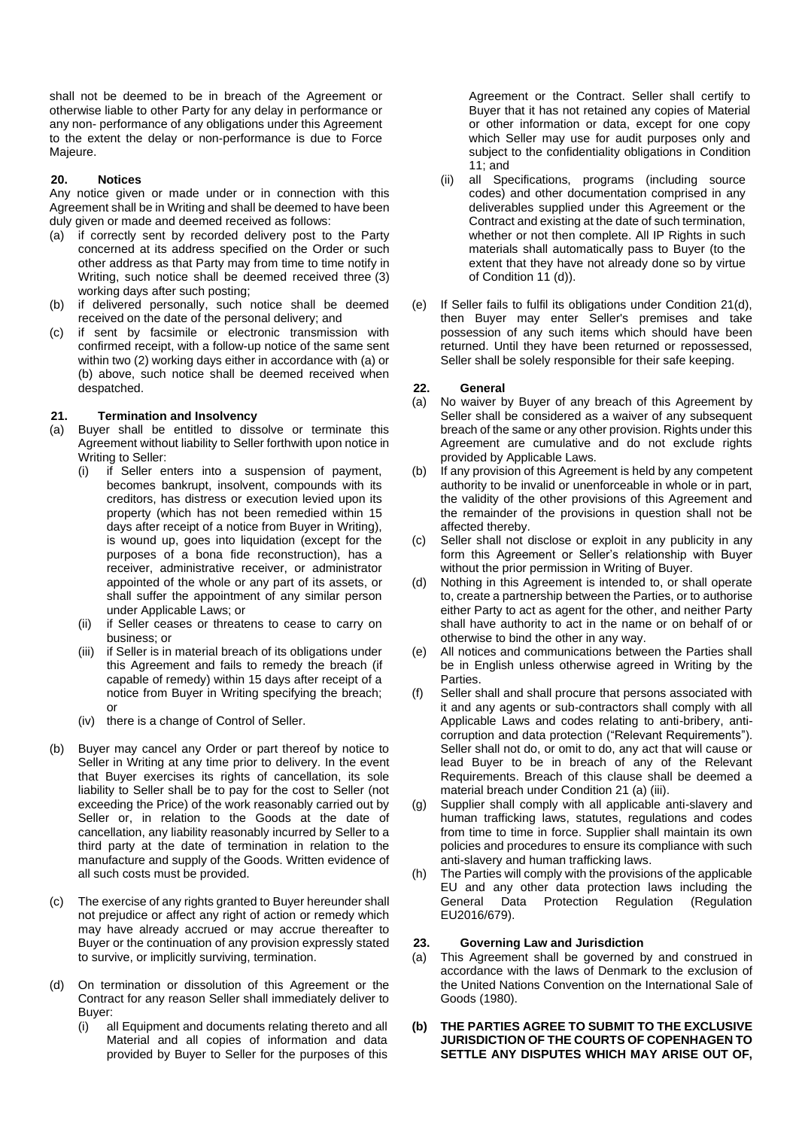shall not be deemed to be in breach of the Agreement or otherwise liable to other Party for any delay in performance or any non- performance of any obligations under this Agreement to the extent the delay or non-performance is due to Force Majeure.

### **20. Notices**

Any notice given or made under or in connection with this Agreement shall be in Writing and shall be deemed to have been duly given or made and deemed received as follows:

- (a) if correctly sent by recorded delivery post to the Party concerned at its address specified on the Order or such other address as that Party may from time to time notify in Writing, such notice shall be deemed received three (3) working days after such posting;
- (b) if delivered personally, such notice shall be deemed received on the date of the personal delivery; and
- (c) if sent by facsimile or electronic transmission with confirmed receipt, with a follow-up notice of the same sent within two (2) working days either in accordance with (a) or (b) above, such notice shall be deemed received when despatched.

# **21. Termination and Insolvency**

- (a) Buyer shall be entitled to dissolve or terminate this Agreement without liability to Seller forthwith upon notice in Writing to Seller:
	- (i) if Seller enters into a suspension of payment, becomes bankrupt, insolvent, compounds with its creditors, has distress or execution levied upon its property (which has not been remedied within 15 days after receipt of a notice from Buyer in Writing), is wound up, goes into liquidation (except for the purposes of a bona fide reconstruction), has a receiver, administrative receiver, or administrator appointed of the whole or any part of its assets, or shall suffer the appointment of any similar person under Applicable Laws; or
	- (ii) if Seller ceases or threatens to cease to carry on business; or
	- (iii) if Seller is in material breach of its obligations under this Agreement and fails to remedy the breach (if capable of remedy) within 15 days after receipt of a notice from Buyer in Writing specifying the breach; or
	- (iv) there is a change of Control of Seller.
- (b) Buyer may cancel any Order or part thereof by notice to Seller in Writing at any time prior to delivery. In the event that Buyer exercises its rights of cancellation, its sole liability to Seller shall be to pay for the cost to Seller (not exceeding the Price) of the work reasonably carried out by Seller or, in relation to the Goods at the date of cancellation, any liability reasonably incurred by Seller to a third party at the date of termination in relation to the manufacture and supply of the Goods. Written evidence of all such costs must be provided.
- (c) The exercise of any rights granted to Buyer hereunder shall not prejudice or affect any right of action or remedy which may have already accrued or may accrue thereafter to Buyer or the continuation of any provision expressly stated to survive, or implicitly surviving, termination.
- (d) On termination or dissolution of this Agreement or the Contract for any reason Seller shall immediately deliver to Buyer:
	- (i) all Equipment and documents relating thereto and all Material and all copies of information and data provided by Buyer to Seller for the purposes of this

Agreement or the Contract. Seller shall certify to Buyer that it has not retained any copies of Material or other information or data, except for one copy which Seller may use for audit purposes only and subject to the confidentiality obligations in Condition 11; and

- (ii) all Specifications, programs (including source codes) and other documentation comprised in any deliverables supplied under this Agreement or the Contract and existing at the date of such termination, whether or not then complete. All IP Rights in such materials shall automatically pass to Buyer (to the extent that they have not already done so by virtue of Condition 11 (d)).
- (e) If Seller fails to fulfil its obligations under Condition 21(d), then Buyer may enter Seller's premises and take possession of any such items which should have been returned. Until they have been returned or repossessed, Seller shall be solely responsible for their safe keeping.

# **22. General**

- (a) No waiver by Buyer of any breach of this Agreement by Seller shall be considered as a waiver of any subsequent breach of the same or any other provision. Rights under this Agreement are cumulative and do not exclude rights provided by Applicable Laws.
- (b) If any provision of this Agreement is held by any competent authority to be invalid or unenforceable in whole or in part, the validity of the other provisions of this Agreement and the remainder of the provisions in question shall not be affected thereby.
- (c) Seller shall not disclose or exploit in any publicity in any form this Agreement or Seller's relationship with Buyer without the prior permission in Writing of Buyer.
- (d) Nothing in this Agreement is intended to, or shall operate to, create a partnership between the Parties, or to authorise either Party to act as agent for the other, and neither Party shall have authority to act in the name or on behalf of or otherwise to bind the other in any way.
- (e) All notices and communications between the Parties shall be in English unless otherwise agreed in Writing by the Parties.
- (f) Seller shall and shall procure that persons associated with it and any agents or sub-contractors shall comply with all Applicable Laws and codes relating to anti-bribery, anticorruption and data protection ("Relevant Requirements"). Seller shall not do, or omit to do, any act that will cause or lead Buyer to be in breach of any of the Relevant Requirements. Breach of this clause shall be deemed a material breach under Condition 21 (a) (iii).
- (g) Supplier shall comply with all applicable anti-slavery and human trafficking laws, statutes, regulations and codes from time to time in force. Supplier shall maintain its own policies and procedures to ensure its compliance with such anti-slavery and human trafficking laws.
- (h) The Parties will comply with the provisions of the applicable EU and any other data protection laws including the General Data Protection Regulation (Regulation EU2016/679).

### **23. Governing Law and Jurisdiction**

(a) This Agreement shall be governed by and construed in accordance with the laws of Denmark to the exclusion of the United Nations Convention on the International Sale of Goods (1980).

### **(b) THE PARTIES AGREE TO SUBMIT TO THE EXCLUSIVE JURISDICTION OF THE COURTS OF COPENHAGEN TO SETTLE ANY DISPUTES WHICH MAY ARISE OUT OF,**